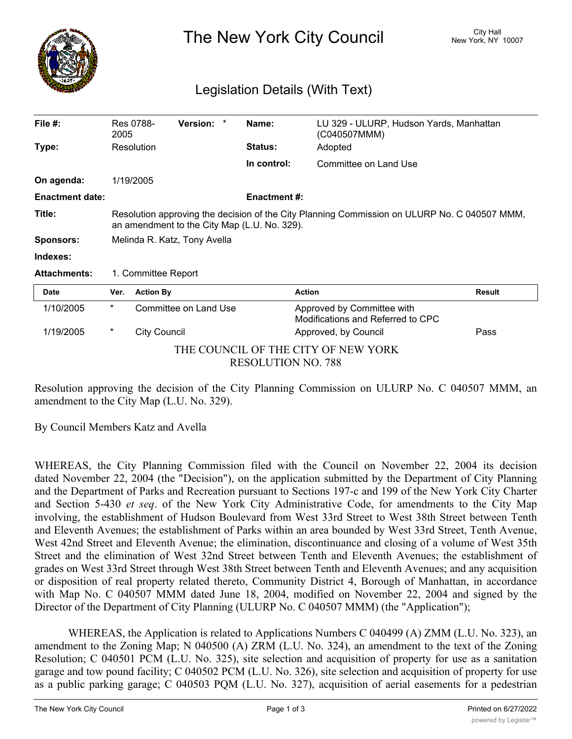

The New York City Council New York, NY 10007

## Legislation Details (With Text)

| File $#$ :                                                       | 2005                                                                                                                                         | Res 0788-           | Version: *            |  | Name:               | LU 329 - ULURP, Hudson Yards, Manhattan<br>(C040507MMM)         |               |
|------------------------------------------------------------------|----------------------------------------------------------------------------------------------------------------------------------------------|---------------------|-----------------------|--|---------------------|-----------------------------------------------------------------|---------------|
| Type:                                                            |                                                                                                                                              | Resolution          |                       |  | <b>Status:</b>      | Adopted                                                         |               |
|                                                                  |                                                                                                                                              |                     |                       |  | In control:         | Committee on Land Use                                           |               |
| On agenda:                                                       |                                                                                                                                              | 1/19/2005           |                       |  |                     |                                                                 |               |
| <b>Enactment date:</b>                                           |                                                                                                                                              |                     |                       |  | <b>Enactment #:</b> |                                                                 |               |
| Title:                                                           | Resolution approving the decision of the City Planning Commission on ULURP No. C 040507 MMM,<br>an amendment to the City Map (L.U. No. 329). |                     |                       |  |                     |                                                                 |               |
| <b>Sponsors:</b>                                                 | Melinda R. Katz, Tony Avella                                                                                                                 |                     |                       |  |                     |                                                                 |               |
| Indexes:                                                         |                                                                                                                                              |                     |                       |  |                     |                                                                 |               |
| <b>Attachments:</b>                                              | 1. Committee Report                                                                                                                          |                     |                       |  |                     |                                                                 |               |
| <b>Date</b>                                                      | Ver.                                                                                                                                         | <b>Action By</b>    |                       |  |                     | <b>Action</b>                                                   | <b>Result</b> |
| 1/10/2005                                                        | $^\star$                                                                                                                                     |                     | Committee on Land Use |  |                     | Approved by Committee with<br>Modifications and Referred to CPC |               |
| 1/19/2005                                                        | $^\star$                                                                                                                                     | <b>City Council</b> |                       |  |                     | Approved, by Council                                            | Pass          |
| THE COUNCIL OF THE CITY OF NEW YORK<br><b>RESOLUTION NO. 788</b> |                                                                                                                                              |                     |                       |  |                     |                                                                 |               |

Resolution approving the decision of the City Planning Commission on ULURP No. C 040507 MMM, an amendment to the City Map (L.U. No. 329).

By Council Members Katz and Avella

WHEREAS, the City Planning Commission filed with the Council on November 22, 2004 its decision dated November 22, 2004 (the "Decision"), on the application submitted by the Department of City Planning and the Department of Parks and Recreation pursuant to Sections 197-c and 199 of the New York City Charter and Section 5-430 *et seq*. of the New York City Administrative Code, for amendments to the City Map involving, the establishment of Hudson Boulevard from West 33rd Street to West 38th Street between Tenth and Eleventh Avenues; the establishment of Parks within an area bounded by West 33rd Street, Tenth Avenue, West 42nd Street and Eleventh Avenue; the elimination, discontinuance and closing of a volume of West 35th Street and the elimination of West 32nd Street between Tenth and Eleventh Avenues; the establishment of grades on West 33rd Street through West 38th Street between Tenth and Eleventh Avenues; and any acquisition or disposition of real property related thereto, Community District 4, Borough of Manhattan, in accordance with Map No. C 040507 MMM dated June 18, 2004, modified on November 22, 2004 and signed by the Director of the Department of City Planning (ULURP No. C 040507 MMM) (the "Application");

WHEREAS, the Application is related to Applications Numbers C 040499 (A) ZMM (L.U. No. 323), an amendment to the Zoning Map; N 040500 (A) ZRM (L.U. No. 324), an amendment to the text of the Zoning Resolution; C 040501 PCM (L.U. No. 325), site selection and acquisition of property for use as a sanitation garage and tow pound facility; C 040502 PCM (L.U. No. 326), site selection and acquisition of property for use as a public parking garage; C 040503 PQM (L.U. No. 327), acquisition of aerial easements for a pedestrian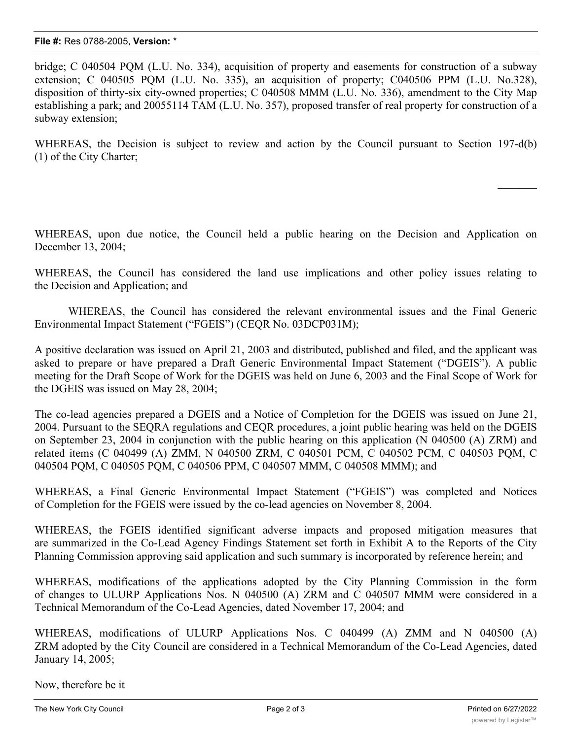bridge; C 040504 PQM (L.U. No. 334), acquisition of property and easements for construction of a subway extension; C 040505 PQM (L.U. No. 335), an acquisition of property; C040506 PPM (L.U. No.328), disposition of thirty-six city-owned properties; C 040508 MMM (L.U. No. 336), amendment to the City Map establishing a park; and 20055114 TAM (L.U. No. 357), proposed transfer of real property for construction of a subway extension;

WHEREAS, the Decision is subject to review and action by the Council pursuant to Section 197-d(b) (1) of the City Charter;

WHEREAS, upon due notice, the Council held a public hearing on the Decision and Application on December 13, 2004;

WHEREAS, the Council has considered the land use implications and other policy issues relating to the Decision and Application; and

WHEREAS, the Council has considered the relevant environmental issues and the Final Generic Environmental Impact Statement ("FGEIS") (CEQR No. 03DCP031M);

A positive declaration was issued on April 21, 2003 and distributed, published and filed, and the applicant was asked to prepare or have prepared a Draft Generic Environmental Impact Statement ("DGEIS"). A public meeting for the Draft Scope of Work for the DGEIS was held on June 6, 2003 and the Final Scope of Work for the DGEIS was issued on May 28, 2004;

The co-lead agencies prepared a DGEIS and a Notice of Completion for the DGEIS was issued on June 21, 2004. Pursuant to the SEQRA regulations and CEQR procedures, a joint public hearing was held on the DGEIS on September 23, 2004 in conjunction with the public hearing on this application (N 040500 (A) ZRM) and related items (C 040499 (A) ZMM, N 040500 ZRM, C 040501 PCM, C 040502 PCM, C 040503 PQM, C 040504 PQM, C 040505 PQM, C 040506 PPM, C 040507 MMM, C 040508 MMM); and

WHEREAS, a Final Generic Environmental Impact Statement ("FGEIS") was completed and Notices of Completion for the FGEIS were issued by the co-lead agencies on November 8, 2004.

WHEREAS, the FGEIS identified significant adverse impacts and proposed mitigation measures that are summarized in the Co-Lead Agency Findings Statement set forth in Exhibit A to the Reports of the City Planning Commission approving said application and such summary is incorporated by reference herein; and

WHEREAS, modifications of the applications adopted by the City Planning Commission in the form of changes to ULURP Applications Nos. N 040500 (A) ZRM and C 040507 MMM were considered in a Technical Memorandum of the Co-Lead Agencies, dated November 17, 2004; and

WHEREAS, modifications of ULURP Applications Nos. C 040499 (A) ZMM and N 040500 (A) ZRM adopted by the City Council are considered in a Technical Memorandum of the Co-Lead Agencies, dated January 14, 2005;

Now, therefore be it